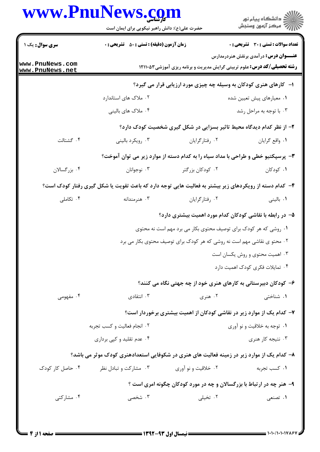# WWW PnuNaws com

| www.rnurew                         | حضرت علی(ع): دانش راهبر نیکویی برای ایمان است                                                          |                                                                                  | ≦ دانشڪاه پيام نور<br>7- مرڪز آزمون وسنڊش                                                                                        |
|------------------------------------|--------------------------------------------------------------------------------------------------------|----------------------------------------------------------------------------------|----------------------------------------------------------------------------------------------------------------------------------|
| <b>سری سوال :</b> یک ۱             | <b>زمان آزمون (دقیقه) : تستی : 50 ٪ تشریحی : 0</b>                                                     |                                                                                  | <b>تعداد سوالات : تستی : 30 ٪ تشریحی : 0</b>                                                                                     |
| www.PnuNews.com<br>www.PnuNews.net |                                                                                                        |                                                                                  | <b>عنـــوان درس:</b> در آمدی برنقش هنردرمدارس<br><b>رشته تحصیلی/کد درس:</b> علوم تربیتی گرایش مدیریت و برنامه ریزی آموزشی1۲۱۱۰۵۳ |
|                                    |                                                                                                        | ا- کارهای هنری کودکان به وسیله چه چیزی مورد ارزیابی قرار می گیرد؟                |                                                                                                                                  |
|                                    | ۰۲ ملاک های استاندارد                                                                                  |                                                                                  | ۰۱ معیارهای پیش تعیین شده                                                                                                        |
|                                    | ۰۴ ملاک های بالینی                                                                                     |                                                                                  | ۰۳ با توجه به مراحل رشد                                                                                                          |
|                                    |                                                                                                        | ۲- از نظر کدام دیدگاه محیط تاثیر بسزایی در شکل گیری شخصیت کودک دارد؟             |                                                                                                                                  |
| ۰۴ گشتالت                          | ۰۳ رویکرد بالینی                                                                                       | ٠٢ رفتارگرايان                                                                   | ١. واقع گرايان                                                                                                                   |
|                                    |                                                                                                        | ۳- پرسپکتیو خطی و طراحی با مداد سیاه را به کدام دسته از موارد زیر می توان آموخت؟ |                                                                                                                                  |
| ۰۴ بزرگسالان                       | ۰۳ نوجوانان                                                                                            | ۰۲ کودکان بزرگتر                                                                 | ۰۱ کودکان                                                                                                                        |
|                                    | ۴- کدام دسته از رویکردهای زیر بیشتر به فعالیت هایی توجه دارد که باعث تقویت یا شکل گیری رفتار کودک است؟ |                                                                                  |                                                                                                                                  |
| ۰۴ تکاملی                          | ۰۳ هنرمندانه                                                                                           | ۰۲ رفتارگرایان                                                                   | ۰۱ بالینی                                                                                                                        |
|                                    |                                                                                                        | ۵– در رابطه با نقاشی کودکان کدام مورد اهمیت بیشتری دارد؟                         |                                                                                                                                  |
|                                    |                                                                                                        | ۰۱ روشی که هر کودک برای توصیف محتوی بکار می برد مهم است نه محتوی                 |                                                                                                                                  |
|                                    |                                                                                                        | ۰۲ محتو ی نقاشی مهم است نه روشی که هر کودک برای توصیف محتوی بکار می برد          |                                                                                                                                  |
|                                    |                                                                                                        |                                                                                  | ۰۳ اهمیت محتوی و روش یکسان است                                                                                                   |
|                                    |                                                                                                        |                                                                                  | ۰۴ تمایلات فکری کودک اهمیت دارد                                                                                                  |
|                                    |                                                                                                        | ۶– کودکان دبیرستانی به کارهای هنری خود از چه جهتی نگاه می کنند؟                  |                                                                                                                                  |
| ۰۴ مفهومی                          | ۰۳ انتقادی                                                                                             | ۰۲ هنري                                                                          | ۰۱ شناختی                                                                                                                        |
|                                    | ۷– کدام یک از موارد زیر در نقاشی کودکان از اهمیت بیشتری برخوردار است؟                                  |                                                                                  |                                                                                                                                  |
|                                    | ۰۲ انجام فعالیت و کسب تجربه                                                                            |                                                                                  | ۰۱ توجه به خلاقیت و نو آوری                                                                                                      |
|                                    | ۰۴ عدم تقلید و کپی برداری                                                                              |                                                                                  | ۰۳ نتیجه کار هنری                                                                                                                |
|                                    | ۸– کدام یک از موارد زیر در زمینه فعالیت های هنری در شکوفایی استعدادهنری کودک موثر می باشد؟             |                                                                                  |                                                                                                                                  |
| ۰۴ حاصل کار کودک                   | ۰۳ مشارکت و تبادل نظر                                                                                  | ۰۲ خلاقیت و نو آوری                                                              | ۰۱ کسب تجربه                                                                                                                     |
|                                    |                                                                                                        | ۹- هنر چه در ارتباط با بزرگسالان و چه در مورد کودکان چگونه امری است ؟            |                                                                                                                                  |
| ۰۴ مشارکتی                         | ۰۳ شخصی                                                                                                | ۰۲ تخیلی                                                                         | ۰۱ تصنعی                                                                                                                         |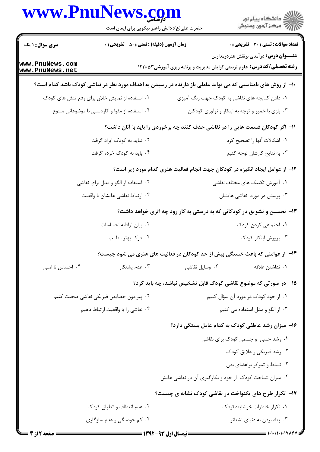#### www.PnuNews.com .<br>گ دانشگاه پیام نور ے<br>37 مرکز آزمون وسنڊش حضرت علی(ع): دانش راهبر نیکویی برای ایمان است **تعداد سوالات : تستي : 30 ٪ تشريحي : 0 سری سوال : ۱ یک زمان آزمون (دقیقه) : تستی : 50 ٪ تشریحی : 0 عنـــوان درس:** درآمدي برنقش هنردرمدارس www.PnuNews.com

۱۰– از روش های نامناسبی که می تواند عاملی باز دارنده در رسیدن به اهداف مورد نظر در نقاشی کودک باشد کدام است؟ ٠٢ استفاده از نمايش خلاق براى رفع تنش هاى كودك ۰۱ دادن کتابچه های نقاشی به کودک جهت رنگ آمیزی ۰۴ استفاده از مقوا و کاردستی با موضوعاتی متنوع ۰۳ بازی با خمیر و توجه به ابتکار و نوآوری کودکان 1۱– اگر کودکان قسمت هایی را در نقاشی حذف کنند چه برخوردی را باید با آنان داشت؟ ۰۲ نباید به کودک ایراد گرفت ٠١. اشكالات آنها ٫ا تصحيح كرد ۰۴ باید به کودک خرده گرفت ۰۳ به نتایج کارشان توجه کنیم

۱۲- از عوامل ایجاد انگیزه در کودکان جهت انجام فعالیت هنری کدام مورد زیر است؟

**رشته تحصیلی/کد درس:** علوم تربیتی گرایش مدیریت و برنامه ریزی آموزشی1۲۱۱۰۵۳

| ۰۲ استفاده از الگو و مدل برای نقاشی | ۰۱ آموزش تكنيك هاى مختلف نقاشى |
|-------------------------------------|--------------------------------|
| ۰۴ ارتباط نقاشي هايشان با واقعيت    | ۰۳ پرسش در مورد نقاشی هایشان   |

#### ۱۳- تحسین و تشویق در کودکانی که به درستی به کار رود چه اثری خواهد داشت؟

| ۰۲ بیان آزادانه احساسات | ۰۱ اجتماعی کردن کودک |
|-------------------------|----------------------|
| ۰۴ درک بهتر مطالب       | ۰۳ پرورش ابتکار کودک |

#### ۱۴– از عواملی که باعث خستگی بیش از حد کودکان در فعالیت های هنری می شود چیست؟

۰۲ وسایل نقاشی ۰۴ احساس نا امنی ۰۳ عدم پشتکار ١. نداشتن علاقه

#### 15- در صورتی که موضوع نقاشی کودک قابل تشخیص نباشد، چه باید کرد؟

۰۱ از خود کودک در مورد آن سؤال کنیم ۰۲ پیرامون خصایص فیزیکی نقاشی صحبت کنیم ۰۴ نقاشی را با واقعیت ارتباط دهیم ۰۳ از الگو و مدل استفاده می کنیم

### ۱۶- میزان رشد عاطفی کودک به کدام عامل بستگی دارد؟

- ۰۱ رشد حسی و جسمی کودک برای نقاشی
	- ۰۲ , شد فیزیکی و علایق کودک
	- ۰۳ تسلط و تمرکز براعضای بدن
- ۰۴ میزان شناخت کودک از خود و بکارگیری آن در نقاشی هایش

### ۱۷- تکرار طرح های یکنواخت در نقاشی کودک نشانه ی چیست؟

۰۲ عدم انعطاف و انطباق کودک ۰۱ تکرار خاطرات خوشایندکودک ۰۴ کم حوصلگی و عدم سازگاری ۰۳ پناه بردن به دنیای آشناتر

www.PnuNews.net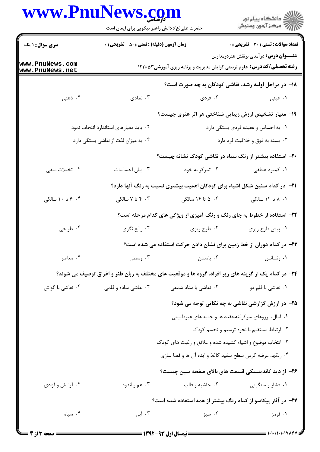## www.PnuNews.com

|                                    | www.PnuNews.com<br>حضرت علی(ع): دانش راهبر نیکویی برای ایمان است |                                                                                    | ڪ دانشڪاه پيام نور<br>/7 مرڪز آزمون وسنڊش                                                                                        |  |
|------------------------------------|------------------------------------------------------------------|------------------------------------------------------------------------------------|----------------------------------------------------------------------------------------------------------------------------------|--|
| <b>سری سوال : ۱ یک</b>             | <b>زمان آزمون (دقیقه) : تستی : 50 ٪ تشریحی : 0</b>               |                                                                                    | <b>تعداد سوالات : تستی : 30 ٪ تشریحی : 0</b>                                                                                     |  |
| www.PnuNews.com<br>www.PnuNews.net |                                                                  |                                                                                    | <b>عنـــوان درس:</b> در آمدی برنقش هنردرمدارس<br><b>رشته تحصیلی/کد درس:</b> علوم تربیتی گرایش مدیریت و برنامه ریزی آموزشی7۱۱۱۰۵۳ |  |
|                                    |                                                                  |                                                                                    | ۱۸– در مراحل اولیه رشد، نقاشی کودکان به چه صورت است؟                                                                             |  |
| ۰۴ ذهنبي                           | ۰۳ نمادی                                                         | ۰۲ فردی                                                                            | ۰۱ عینی                                                                                                                          |  |
|                                    |                                                                  | ۱۹- معیار تشخیص ارزش زیبایی شناختی هر اثر هنری چیست؟                               |                                                                                                                                  |  |
|                                    | ۰۲ باید معیارهای استاندارد انتخاب نمود                           |                                                                                    | ۰۱ به احساس و عقیده فردی بستگی دارد                                                                                              |  |
|                                    | ۰۴ به میزان لذت از نقاشی بستگی دارد                              |                                                                                    | ۰۳ بسته به ذوق و خلاقیت فرد دارد                                                                                                 |  |
|                                    |                                                                  |                                                                                    | ۲۰- استفاده بیشتر از رنگ سیاه در نقاشی کودک نشانه چیست؟                                                                          |  |
| ۰۴ تخیلات منفی                     | ۰۳ بیان احساسات                                                  | ۰۲ تمرکز به خود                                                                    | ۰۱ کمبود عاطفی                                                                                                                   |  |
|                                    |                                                                  | <b>۲۱</b> - در کدام سنین شکل اشیاء برای کودکان اهمیت بیشتری نسبت به رنگ آنها دارد؟ |                                                                                                                                  |  |
| ۰۴ تا ۱۰ سالگی                     | ۰۳ تا ۷ سالگی                                                    | ۰۲ ۵ تا ۱۴ سالگی                                                                   | ۰۱ ۸ تا ۱۲ سالگی                                                                                                                 |  |
|                                    |                                                                  |                                                                                    | <b>۲۲- استفاده از خطوط به جای رنگ و رنگ آمیزی از ویژگی های کدام مرحله است؟</b>                                                   |  |
| ۰۴ طراحی                           | ۰۳ واقع نگري                                                     | ۰۲ طرح ریزی                                                                        | ٠١. پيش طرح ريزي                                                                                                                 |  |
|                                    |                                                                  |                                                                                    | ۲۳- در کدام دوران از خط زمین برای نشان دادن حرکت استفاده می شده است؟                                                             |  |
| ۰۴ معاصر                           | ۰۳ وسطی                                                          | ۰۲ باستان                                                                          | ۰۱ رنسانس                                                                                                                        |  |
|                                    |                                                                  |                                                                                    | ۲۴- در کدام یک از گزینه های زیر افراد، گروه ها و موقعیت های مختلف به زبان طنز و اغراق توصیف می شوند؟                             |  |
| ۰۴ نقاشی با گواش                   | ۰۳ نقاشی ساده و قلمی                                             | ۰۲ نقاشی با مداد شمعی                                                              | ۰۱ نقاشی با قلم مو                                                                                                               |  |
|                                    |                                                                  |                                                                                    | ۲۵– در ارزش گزارشی نقاشی به چه نکاتی توجه می شود؟                                                                                |  |
|                                    |                                                                  |                                                                                    | ۰۱ آمال، آرزوهای سرکوفته،عقده ها و جنبه های غیرطبیعی                                                                             |  |
|                                    |                                                                  |                                                                                    | ۰۲ ارتباط مستقیم با نحوه ترسیم و تجسم کودک                                                                                       |  |
|                                    |                                                                  | ۰۳ انتخاب موضوع و اشیاء کشیده شده و علائق و رغبت های کودک                          |                                                                                                                                  |  |
|                                    |                                                                  | ۰۴ رنگها، عرضه كردن سطح سفيد كاغذ و ايده آل ها و فضا سازي                          |                                                                                                                                  |  |
|                                    |                                                                  |                                                                                    | ۲۶– از دید کاندینسکی قسمت های بالای صفحه مبین چیست؟                                                                              |  |
| ۰۴ آرامش و آزادي                   | ۰۳ غم و اندوه                                                    | ۰۲ حاشیه و قالب                                                                    | ۰۱ فشار و سنگینی                                                                                                                 |  |
|                                    |                                                                  |                                                                                    | ۲۷– در آثار پیکاسو از کدام رنگ بیشتر از همه استفاده شده است؟                                                                     |  |
| ۰۴ سیاه                            | ۰۳ آبی                                                           | ۰۲ سبز                                                                             | ۰۱ قرمز                                                                                                                          |  |